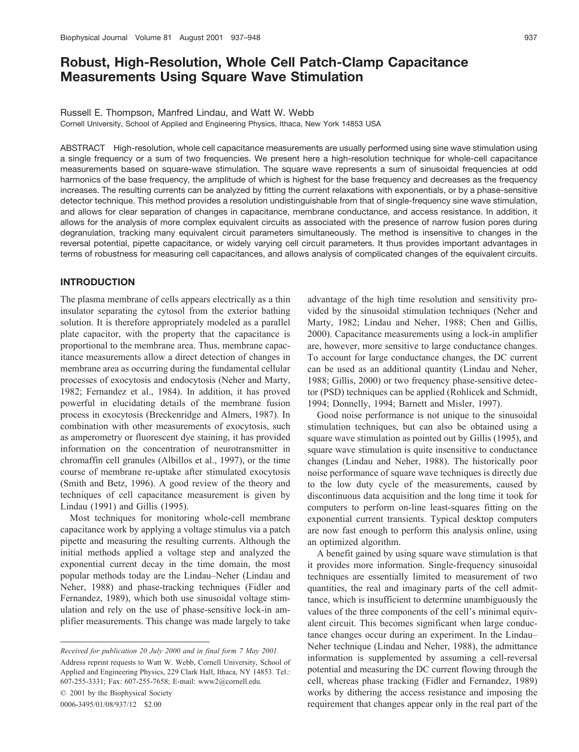# **Robust, High-Resolution, Whole Cell Patch-Clamp Capacitance Measurements Using Square Wave Stimulation**

Russell E. Thompson, Manfred Lindau, and Watt W. Webb

Cornell University, School of Applied and Engineering Physics, Ithaca, New York 14853 USA

ABSTRACT High-resolution, whole cell capacitance measurements are usually performed using sine wave stimulation using a single frequency or a sum of two frequencies. We present here a high-resolution technique for whole-cell capacitance measurements based on square-wave stimulation. The square wave represents a sum of sinusoidal frequencies at odd harmonics of the base frequency, the amplitude of which is highest for the base frequency and decreases as the frequency increases. The resulting currents can be analyzed by fitting the current relaxations with exponentials, or by a phase-sensitive detector technique. This method provides a resolution undistinguishable from that of single-frequency sine wave stimulation, and allows for clear separation of changes in capacitance, membrane conductance, and access resistance. In addition, it allows for the analysis of more complex equivalent circuits as associated with the presence of narrow fusion pores during degranulation, tracking many equivalent circuit parameters simultaneously. The method is insensitive to changes in the reversal potential, pipette capacitance, or widely varying cell circuit parameters. It thus provides important advantages in terms of robustness for measuring cell capacitances, and allows analysis of complicated changes of the equivalent circuits.

# **INTRODUCTION**

The plasma membrane of cells appears electrically as a thin insulator separating the cytosol from the exterior bathing solution. It is therefore appropriately modeled as a parallel plate capacitor, with the property that the capacitance is proportional to the membrane area. Thus, membrane capacitance measurements allow a direct detection of changes in membrane area as occurring during the fundamental cellular processes of exocytosis and endocytosis (Neher and Marty, 1982; Fernandez et al., 1984). In addition, it has proved powerful in elucidating details of the membrane fusion process in exocytosis (Breckenridge and Almers, 1987). In combination with other measurements of exocytosis, such as amperometry or fluorescent dye staining, it has provided information on the concentration of neurotransmitter in chromaffin cell granules (Albillos et al., 1997), or the time course of membrane re-uptake after stimulated exocytosis (Smith and Betz, 1996). A good review of the theory and techniques of cell capacitance measurement is given by Lindau (1991) and Gillis (1995).

Most techniques for monitoring whole-cell membrane capacitance work by applying a voltage stimulus via a patch pipette and measuring the resulting currents. Although the initial methods applied a voltage step and analyzed the exponential current decay in the time domain, the most popular methods today are the Lindau–Neher (Lindau and Neher, 1988) and phase-tracking techniques (Fidler and Fernandez, 1989), which both use sinusoidal voltage stimulation and rely on the use of phase-sensitive lock-in amplifier measurements. This change was made largely to take

Address reprint requests to Watt W. Webb, Cornell University, School of Applied and Engineering Physics, 229 Clark Hall, Ithaca, NY 14853. Tel.: 607-255-3331; Fax: 607-255-7658; E-mail: www2@cornell.edu.

© 2001 by the Biophysical Society

0006-3495/01/08/937/12 \$2.00

advantage of the high time resolution and sensitivity provided by the sinusoidal stimulation techniques (Neher and Marty, 1982; Lindau and Neher, 1988; Chen and Gillis, 2000). Capacitance measurements using a lock-in amplifier are, however, more sensitive to large conductance changes. To account for large conductance changes, the DC current can be used as an additional quantity (Lindau and Neher, 1988; Gillis, 2000) or two frequency phase-sensitive detector (PSD) techniques can be applied (Rohlicek and Schmidt, 1994; Donnelly, 1994; Barnett and Misler, 1997).

Good noise performance is not unique to the sinusoidal stimulation techniques, but can also be obtained using a square wave stimulation as pointed out by Gillis (1995), and square wave stimulation is quite insensitive to conductance changes (Lindau and Neher, 1988). The historically poor noise performance of square wave techniques is directly due to the low duty cycle of the measurements, caused by discontinuous data acquisition and the long time it took for computers to perform on-line least-squares fitting on the exponential current transients. Typical desktop computers are now fast enough to perform this analysis online, using an optimized algorithm.

A benefit gained by using square wave stimulation is that it provides more information. Single-frequency sinusoidal techniques are essentially limited to measurement of two quantities, the real and imaginary parts of the cell admittance, which is insufficient to determine unambiguously the values of the three components of the cell's minimal equivalent circuit. This becomes significant when large conductance changes occur during an experiment. In the Lindau– Neher technique (Lindau and Neher, 1988), the admittance information is supplemented by assuming a cell-reversal potential and measuring the DC current flowing through the cell, whereas phase tracking (Fidler and Fernandez, 1989) works by dithering the access resistance and imposing the requirement that changes appear only in the real part of the

*Received for publication 20 July 2000 and in final form 7 May 2001.*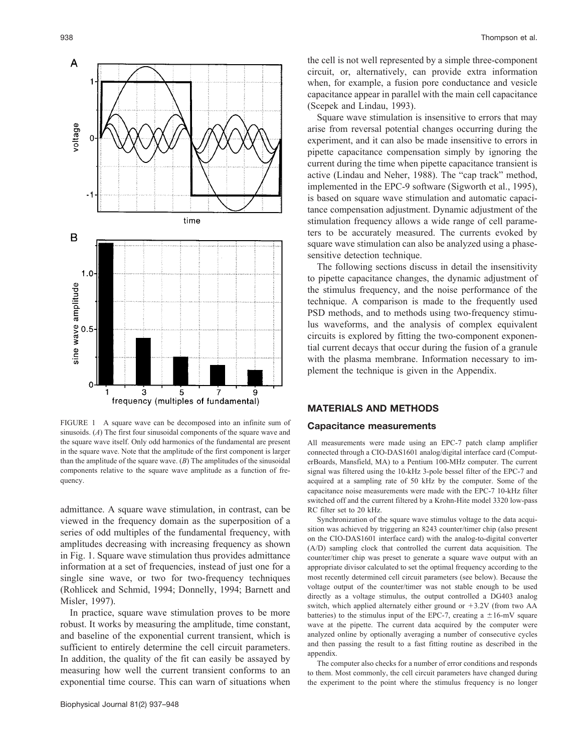

FIGURE 1 A square wave can be decomposed into an infinite sum of sinusoids. (*A*) The first four sinusoidal components of the square wave and the square wave itself. Only odd harmonics of the fundamental are present in the square wave. Note that the amplitude of the first component is larger than the amplitude of the square wave. (*B*) The amplitudes of the sinusoidal components relative to the square wave amplitude as a function of frequency.

admittance. A square wave stimulation, in contrast, can be viewed in the frequency domain as the superposition of a series of odd multiples of the fundamental frequency, with amplitudes decreasing with increasing frequency as shown in Fig. 1. Square wave stimulation thus provides admittance information at a set of frequencies, instead of just one for a single sine wave, or two for two-frequency techniques (Rohlicek and Schmid, 1994; Donnelly, 1994; Barnett and Misler, 1997).

In practice, square wave stimulation proves to be more robust. It works by measuring the amplitude, time constant, and baseline of the exponential current transient, which is sufficient to entirely determine the cell circuit parameters. In addition, the quality of the fit can easily be assayed by measuring how well the current transient conforms to an exponential time course. This can warn of situations when the cell is not well represented by a simple three-component circuit, or, alternatively, can provide extra information when, for example, a fusion pore conductance and vesicle capacitance appear in parallel with the main cell capacitance (Scepek and Lindau, 1993).

Square wave stimulation is insensitive to errors that may arise from reversal potential changes occurring during the experiment, and it can also be made insensitive to errors in pipette capacitance compensation simply by ignoring the current during the time when pipette capacitance transient is active (Lindau and Neher, 1988). The "cap track" method, implemented in the EPC-9 software (Sigworth et al., 1995), is based on square wave stimulation and automatic capacitance compensation adjustment. Dynamic adjustment of the stimulation frequency allows a wide range of cell parameters to be accurately measured. The currents evoked by square wave stimulation can also be analyzed using a phasesensitive detection technique.

The following sections discuss in detail the insensitivity to pipette capacitance changes, the dynamic adjustment of the stimulus frequency, and the noise performance of the technique. A comparison is made to the frequently used PSD methods, and to methods using two-frequency stimulus waveforms, and the analysis of complex equivalent circuits is explored by fitting the two-component exponential current decays that occur during the fusion of a granule with the plasma membrane. Information necessary to implement the technique is given in the Appendix.

# **MATERIALS AND METHODS**

### **Capacitance measurements**

All measurements were made using an EPC-7 patch clamp amplifier connected through a CIO-DAS1601 analog/digital interface card (ComputerBoards, Mansfield, MA) to a Pentium 100-MHz computer. The current signal was filtered using the 10-kHz 3-pole bessel filter of the EPC-7 and acquired at a sampling rate of 50 kHz by the computer. Some of the capacitance noise measurements were made with the EPC-7 10-kHz filter switched off and the current filtered by a Krohn-Hite model 3320 low-pass RC filter set to 20 kHz.

Synchronization of the square wave stimulus voltage to the data acquisition was achieved by triggering an 8243 counter/timer chip (also present on the CIO-DAS1601 interface card) with the analog-to-digital converter (A/D) sampling clock that controlled the current data acquisition. The counter/timer chip was preset to generate a square wave output with an appropriate divisor calculated to set the optimal frequency according to the most recently determined cell circuit parameters (see below). Because the voltage output of the counter/timer was not stable enough to be used directly as a voltage stimulus, the output controlled a DG403 analog switch, which applied alternately either ground or  $+3.2V$  (from two AA batteries) to the stimulus input of the EPC-7, creating a  $\pm 16$ -mV square wave at the pipette. The current data acquired by the computer were analyzed online by optionally averaging a number of consecutive cycles and then passing the result to a fast fitting routine as described in the appendix.

The computer also checks for a number of error conditions and responds to them. Most commonly, the cell circuit parameters have changed during the experiment to the point where the stimulus frequency is no longer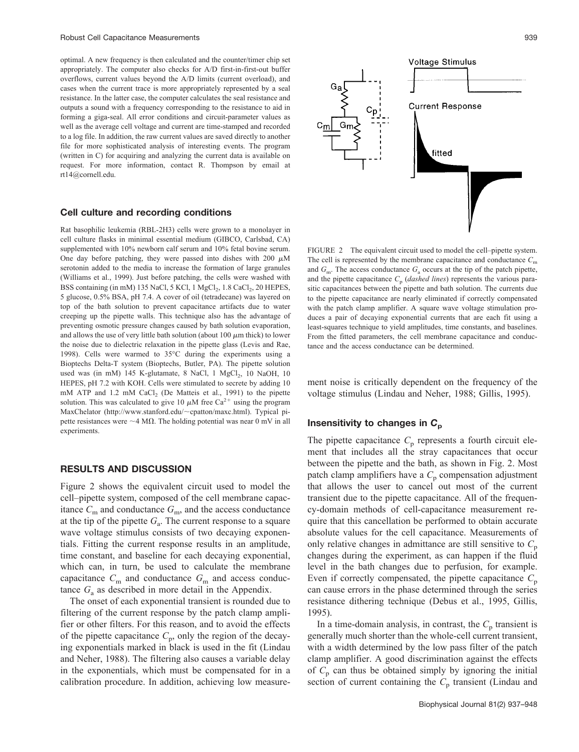optimal. A new frequency is then calculated and the counter/timer chip set appropriately. The computer also checks for A/D first-in-first-out buffer overflows, current values beyond the A/D limits (current overload), and cases when the current trace is more appropriately represented by a seal resistance. In the latter case, the computer calculates the seal resistance and outputs a sound with a frequency corresponding to the resistance to aid in forming a giga-seal. All error conditions and circuit-parameter values as well as the average cell voltage and current are time-stamped and recorded to a log file. In addition, the raw current values are saved directly to another file for more sophisticated analysis of interesting events. The program (written in C) for acquiring and analyzing the current data is available on request. For more information, contact R. Thompson by email at rt14@cornell.edu.

### **Cell culture and recording conditions**

Rat basophilic leukemia (RBL-2H3) cells were grown to a monolayer in cell culture flasks in minimal essential medium (GIBCO, Carlsbad, CA) supplemented with 10% newborn calf serum and 10% fetal bovine serum. One day before patching, they were passed into dishes with 200  $\mu$ M serotonin added to the media to increase the formation of large granules (Williams et al., 1999). Just before patching, the cells were washed with BSS containing (in mM) 135 NaCl, 5 KCl, 1 MgCl<sub>2</sub>, 1.8 CaCl<sub>2</sub>, 20 HEPES, 5 glucose, 0.5% BSA, pH 7.4. A cover of oil (tetradecane) was layered on top of the bath solution to prevent capacitance artifacts due to water creeping up the pipette walls. This technique also has the advantage of preventing osmotic pressure changes caused by bath solution evaporation, and allows the use of very little bath solution (about  $100 \mu m$  thick) to lower the noise due to dielectric relaxation in the pipette glass (Levis and Rae, 1998). Cells were warmed to 35°C during the experiments using a Bioptechs Delta-T system (Bioptechs, Butler, PA). The pipette solution used was (in mM) 145 K-glutamate, 8 NaCl, 1 MgCl<sub>2</sub>, 10 NaOH, 10 HEPES, pH 7.2 with KOH. Cells were stimulated to secrete by adding 10 mM ATP and  $1.2$  mM CaCl<sub>2</sub> (De Matteis et al., 1991) to the pipette solution. This was calculated to give 10  $\mu$ M free Ca<sup>2+</sup> using the program MaxChelator (http://www.stanford.edu/~cpatton/maxc.html). Typical pipette resistances were  $\sim$  4 M $\Omega$ . The holding potential was near 0 mV in all experiments.

# **RESULTS AND DISCUSSION**

Figure 2 shows the equivalent circuit used to model the cell–pipette system, composed of the cell membrane capacitance  $C_m$  and conductance  $G_m$ , and the access conductance at the tip of the pipette  $G_a$ . The current response to a square wave voltage stimulus consists of two decaying exponentials. Fitting the current response results in an amplitude, time constant, and baseline for each decaying exponential, which can, in turn, be used to calculate the membrane capacitance  $C_m$  and conductance  $G_m$  and access conductance  $G_a$  as described in more detail in the Appendix.

The onset of each exponential transient is rounded due to filtering of the current response by the patch clamp amplifier or other filters. For this reason, and to avoid the effects of the pipette capacitance  $C_p$ , only the region of the decaying exponentials marked in black is used in the fit (Lindau and Neher, 1988). The filtering also causes a variable delay in the exponentials, which must be compensated for in a calibration procedure. In addition, achieving low measure-



FIGURE 2 The equivalent circuit used to model the cell–pipette system. The cell is represented by the membrane capacitance and conductance  $C<sub>m</sub>$ and  $G_m$ . The access conductance  $G_a$  occurs at the tip of the patch pipette, and the pipette capacitance  $C_p$  (*dashed lines*) represents the various parasitic capacitances between the pipette and bath solution. The currents due to the pipette capacitance are nearly eliminated if correctly compensated with the patch clamp amplifier. A square wave voltage stimulation produces a pair of decaying exponential currents that are each fit using a least-squares technique to yield amplitudes, time constants, and baselines. From the fitted parameters, the cell membrane capacitance and conductance and the access conductance can be determined.

ment noise is critically dependent on the frequency of the voltage stimulus (Lindau and Neher, 1988; Gillis, 1995).

# **Insensitivity to changes in** *C***<sup>p</sup>**

The pipette capacitance  $C_p$  represents a fourth circuit element that includes all the stray capacitances that occur between the pipette and the bath, as shown in Fig. 2. Most patch clamp amplifiers have a  $C_p$  compensation adjustment that allows the user to cancel out most of the current transient due to the pipette capacitance. All of the frequency-domain methods of cell-capacitance measurement require that this cancellation be performed to obtain accurate absolute values for the cell capacitance. Measurements of only relative changes in admittance are still sensitive to  $C_p$ changes during the experiment, as can happen if the fluid level in the bath changes due to perfusion, for example. Even if correctly compensated, the pipette capacitance  $C_p$ can cause errors in the phase determined through the series resistance dithering technique (Debus et al., 1995, Gillis, 1995).

In a time-domain analysis, in contrast, the  $C_p$  transient is generally much shorter than the whole-cell current transient, with a width determined by the low pass filter of the patch clamp amplifier. A good discrimination against the effects of  $C_p$  can thus be obtained simply by ignoring the initial section of current containing the  $C_p$  transient (Lindau and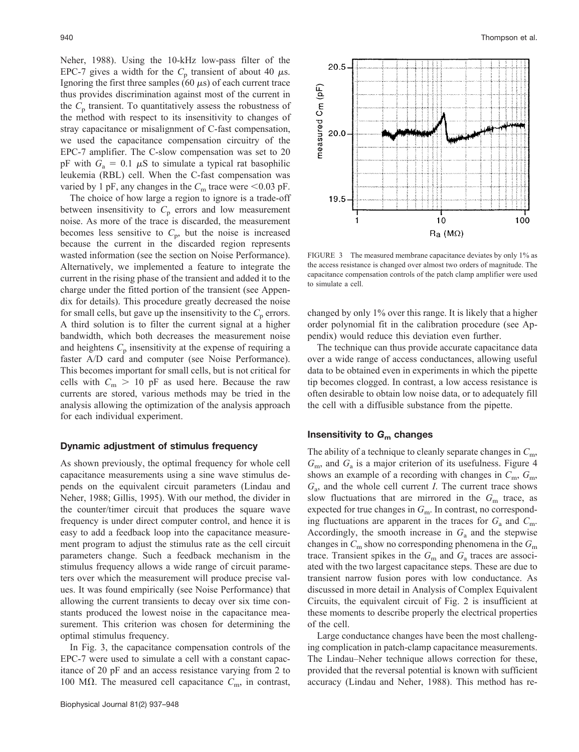Neher, 1988). Using the 10-kHz low-pass filter of the EPC-7 gives a width for the  $C_p$  transient of about 40  $\mu$ s. Ignoring the first three samples  $(60 \mu s)$  of each current trace thus provides discrimination against most of the current in the  $C_p$  transient. To quantitatively assess the robustness of the method with respect to its insensitivity to changes of stray capacitance or misalignment of C-fast compensation, we used the capacitance compensation circuitry of the EPC-7 amplifier. The C-slow compensation was set to 20 pF with  $G_a = 0.1 \mu S$  to simulate a typical rat basophilic leukemia (RBL) cell. When the C-fast compensation was varied by 1 pF, any changes in the  $C<sub>m</sub>$  trace were <0.03 pF.

The choice of how large a region to ignore is a trade-off between insensitivity to  $C_p$  errors and low measurement noise. As more of the trace is discarded, the measurement becomes less sensitive to  $C_p$ , but the noise is increased because the current in the discarded region represents wasted information (see the section on Noise Performance). Alternatively, we implemented a feature to integrate the current in the rising phase of the transient and added it to the charge under the fitted portion of the transient (see Appendix for details). This procedure greatly decreased the noise for small cells, but gave up the insensitivity to the  $C_p$  errors. A third solution is to filter the current signal at a higher bandwidth, which both decreases the measurement noise and heightens  $C_p$  insensitivity at the expense of requiring a faster A/D card and computer (see Noise Performance). This becomes important for small cells, but is not critical for cells with  $C_m > 10$  pF as used here. Because the raw currents are stored, various methods may be tried in the analysis allowing the optimization of the analysis approach for each individual experiment.

### **Dynamic adjustment of stimulus frequency**

As shown previously, the optimal frequency for whole cell capacitance measurements using a sine wave stimulus depends on the equivalent circuit parameters (Lindau and Neher, 1988; Gillis, 1995). With our method, the divider in the counter/timer circuit that produces the square wave frequency is under direct computer control, and hence it is easy to add a feedback loop into the capacitance measurement program to adjust the stimulus rate as the cell circuit parameters change. Such a feedback mechanism in the stimulus frequency allows a wide range of circuit parameters over which the measurement will produce precise values. It was found empirically (see Noise Performance) that allowing the current transients to decay over six time constants produced the lowest noise in the capacitance measurement. This criterion was chosen for determining the optimal stimulus frequency.

In Fig. 3, the capacitance compensation controls of the EPC-7 were used to simulate a cell with a constant capacitance of 20 pF and an access resistance varying from 2 to 100 M $\Omega$ . The measured cell capacitance  $C_{\text{m}}$ , in contrast,



FIGURE 3 The measured membrane capacitance deviates by only 1% as the access resistance is changed over almost two orders of magnitude. The capacitance compensation controls of the patch clamp amplifier were used to simulate a cell.

changed by only 1% over this range. It is likely that a higher order polynomial fit in the calibration procedure (see Appendix) would reduce this deviation even further.

The technique can thus provide accurate capacitance data over a wide range of access conductances, allowing useful data to be obtained even in experiments in which the pipette tip becomes clogged. In contrast, a low access resistance is often desirable to obtain low noise data, or to adequately fill the cell with a diffusible substance from the pipette.

# **Insensitivity to** *G***<sup>m</sup> changes**

The ability of a technique to cleanly separate changes in *C*m, *G*m, and *G*<sup>a</sup> is a major criterion of its usefulness. Figure 4 shows an example of a recording with changes in  $C_m$ ,  $G_m$ , *G*a, and the whole cell current *I*. The current trace shows slow fluctuations that are mirrored in the  $G<sub>m</sub>$  trace, as expected for true changes in  $G<sub>m</sub>$ . In contrast, no corresponding fluctuations are apparent in the traces for  $G_a$  and  $C_m$ . Accordingly, the smooth increase in  $G_a$  and the stepwise changes in  $C_m$  show no corresponding phenomena in the  $G_m$ trace. Transient spikes in the  $G<sub>m</sub>$  and  $G<sub>a</sub>$  traces are associated with the two largest capacitance steps. These are due to transient narrow fusion pores with low conductance. As discussed in more detail in Analysis of Complex Equivalent Circuits, the equivalent circuit of Fig. 2 is insufficient at these moments to describe properly the electrical properties of the cell.

Large conductance changes have been the most challenging complication in patch-clamp capacitance measurements. The Lindau–Neher technique allows correction for these, provided that the reversal potential is known with sufficient accuracy (Lindau and Neher, 1988). This method has re-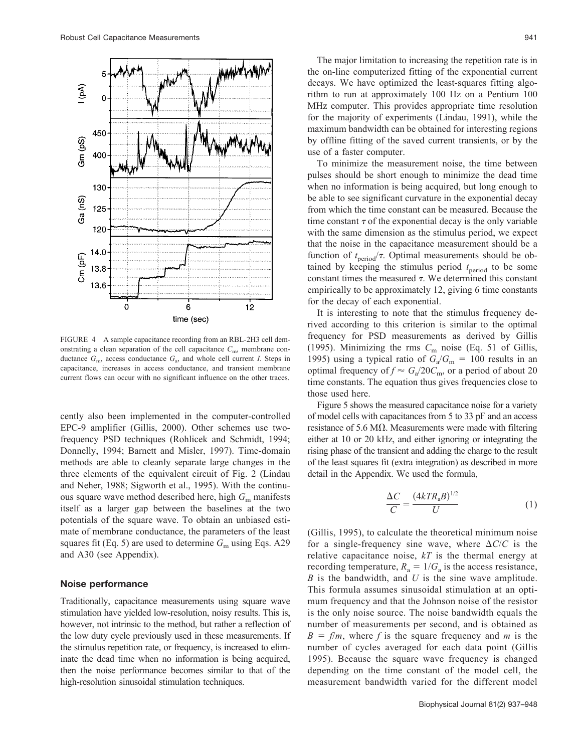

FIGURE 4 A sample capacitance recording from an RBL-2H3 cell demonstrating a clean separation of the cell capacitance  $C<sub>m</sub>$ , membrane conductance  $G_m$ , access conductance  $G_a$ , and whole cell current *I*. Steps in capacitance, increases in access conductance, and transient membrane current flows can occur with no significant influence on the other traces.

cently also been implemented in the computer-controlled EPC-9 amplifier (Gillis, 2000). Other schemes use twofrequency PSD techniques (Rohlicek and Schmidt, 1994; Donnelly, 1994; Barnett and Misler, 1997). Time-domain methods are able to cleanly separate large changes in the three elements of the equivalent circuit of Fig. 2 (Lindau and Neher, 1988; Sigworth et al., 1995). With the continuous square wave method described here, high  $G<sub>m</sub>$  manifests itself as a larger gap between the baselines at the two potentials of the square wave. To obtain an unbiased estimate of membrane conductance, the parameters of the least squares fit (Eq. 5) are used to determine  $G<sub>m</sub>$  using Eqs. A29 and A30 (see Appendix).

### **Noise performance**

Traditionally, capacitance measurements using square wave stimulation have yielded low-resolution, noisy results. This is, however, not intrinsic to the method, but rather a reflection of the low duty cycle previously used in these measurements. If the stimulus repetition rate, or frequency, is increased to eliminate the dead time when no information is being acquired, then the noise performance becomes similar to that of the high-resolution sinusoidal stimulation techniques.

The major limitation to increasing the repetition rate is in the on-line computerized fitting of the exponential current decays. We have optimized the least-squares fitting algorithm to run at approximately 100 Hz on a Pentium 100 MHz computer. This provides appropriate time resolution for the majority of experiments (Lindau, 1991), while the maximum bandwidth can be obtained for interesting regions by offline fitting of the saved current transients, or by the use of a faster computer.

To minimize the measurement noise, the time between pulses should be short enough to minimize the dead time when no information is being acquired, but long enough to be able to see significant curvature in the exponential decay from which the time constant can be measured. Because the time constant  $\tau$  of the exponential decay is the only variable with the same dimension as the stimulus period, we expect that the noise in the capacitance measurement should be a function of  $t_{period}/\tau$ . Optimal measurements should be obtained by keeping the stimulus period  $t_{\text{period}}$  to be some constant times the measured  $\tau$ . We determined this constant empirically to be approximately 12, giving 6 time constants for the decay of each exponential.

It is interesting to note that the stimulus frequency derived according to this criterion is similar to the optimal frequency for PSD measurements as derived by Gillis (1995). Minimizing the rms  $C_m$  noise (Eq. 51 of Gillis, 1995) using a typical ratio of  $G_a/G_m = 100$  results in an optimal frequency of  $f \approx G_a/20C_m$ , or a period of about 20 time constants. The equation thus gives frequencies close to those used here.

Figure 5 shows the measured capacitance noise for a variety of model cells with capacitances from 5 to 33 pF and an access resistance of 5.6 M $\Omega$ . Measurements were made with filtering either at 10 or 20 kHz, and either ignoring or integrating the rising phase of the transient and adding the charge to the result of the least squares fit (extra integration) as described in more detail in the Appendix. We used the formula,

$$
\frac{\Delta C}{C} = \frac{(4kTR_aB)^{1/2}}{U} \tag{1}
$$

(Gillis, 1995), to calculate the theoretical minimum noise for a single-frequency sine wave, where  $\Delta C/C$  is the relative capacitance noise, *kT* is the thermal energy at recording temperature,  $R_a = 1/G_a$  is the access resistance, *B* is the bandwidth, and *U* is the sine wave amplitude. This formula assumes sinusoidal stimulation at an optimum frequency and that the Johnson noise of the resistor is the only noise source. The noise bandwidth equals the number of measurements per second, and is obtained as  $B = f/m$ , where f is the square frequency and m is the number of cycles averaged for each data point (Gillis 1995). Because the square wave frequency is changed depending on the time constant of the model cell, the measurement bandwidth varied for the different model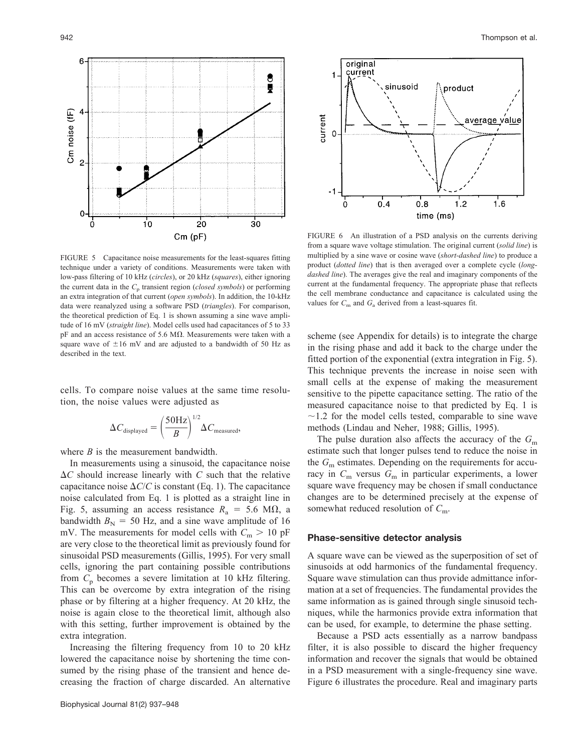

FIGURE 5 Capacitance noise measurements for the least-squares fitting technique under a variety of conditions. Measurements were taken with low-pass filtering of 10 kHz (*circles*), or 20 kHz (*squares*), either ignoring the current data in the *C*<sup>p</sup> transient region (*closed symbols*) or performing an extra integration of that current (*open symbols*). In addition, the 10-kHz data were reanalyzed using a software PSD (*triangles*). For comparison, the theoretical prediction of Eq. 1 is shown assuming a sine wave amplitude of 16 mV (*straight line*). Model cells used had capacitances of 5 to 33  $pF$  and an access resistance of 5.6 M $\Omega$ . Measurements were taken with a square wave of  $\pm 16$  mV and are adjusted to a bandwidth of 50 Hz as described in the text.

cells. To compare noise values at the same time resolution, the noise values were adjusted as

$$
\Delta C_{\text{displayed}} = \left(\frac{50 \text{Hz}}{B}\right)^{1/2} \Delta C_{\text{measured}},
$$

where *B* is the measurement bandwidth.

In measurements using a sinusoid, the capacitance noise *C* should increase linearly with *C* such that the relative capacitance noise  $\Delta C/C$  is constant (Eq. 1). The capacitance noise calculated from Eq. 1 is plotted as a straight line in Fig. 5, assuming an access resistance  $R_a = 5.6$  M $\Omega$ , a bandwidth  $B<sub>N</sub> = 50$  Hz, and a sine wave amplitude of 16 mV. The measurements for model cells with  $C_m > 10$  pF are very close to the theoretical limit as previously found for sinusoidal PSD measurements (Gillis, 1995). For very small cells, ignoring the part containing possible contributions from *C*<sup>p</sup> becomes a severe limitation at 10 kHz filtering. This can be overcome by extra integration of the rising phase or by filtering at a higher frequency. At 20 kHz, the noise is again close to the theoretical limit, although also with this setting, further improvement is obtained by the extra integration.

Increasing the filtering frequency from 10 to 20 kHz lowered the capacitance noise by shortening the time consumed by the rising phase of the transient and hence decreasing the fraction of charge discarded. An alternative



FIGURE 6 An illustration of a PSD analysis on the currents deriving from a square wave voltage stimulation. The original current (*solid line*) is multiplied by a sine wave or cosine wave (*short-dashed line*) to produce a product (*dotted line*) that is then averaged over a complete cycle (*longdashed line*). The averages give the real and imaginary components of the current at the fundamental frequency. The appropriate phase that reflects the cell membrane conductance and capacitance is calculated using the values for  $C_m$  and  $G_a$  derived from a least-squares fit.

scheme (see Appendix for details) is to integrate the charge in the rising phase and add it back to the charge under the fitted portion of the exponential (extra integration in Fig. 5). This technique prevents the increase in noise seen with small cells at the expense of making the measurement sensitive to the pipette capacitance setting. The ratio of the measured capacitance noise to that predicted by Eq. 1 is  $\sim$ 1.2 for the model cells tested, comparable to sine wave methods (Lindau and Neher, 1988; Gillis, 1995).

The pulse duration also affects the accuracy of the  $G<sub>m</sub>$ estimate such that longer pulses tend to reduce the noise in the  $G<sub>m</sub>$  estimates. Depending on the requirements for accuracy in  $C_m$  versus  $G_m$  in particular experiments, a lower square wave frequency may be chosen if small conductance changes are to be determined precisely at the expense of somewhat reduced resolution of *C*m.

### **Phase-sensitive detector analysis**

A square wave can be viewed as the superposition of set of sinusoids at odd harmonics of the fundamental frequency. Square wave stimulation can thus provide admittance information at a set of frequencies. The fundamental provides the same information as is gained through single sinusoid techniques, while the harmonics provide extra information that can be used, for example, to determine the phase setting.

Because a PSD acts essentially as a narrow bandpass filter, it is also possible to discard the higher frequency information and recover the signals that would be obtained in a PSD measurement with a single-frequency sine wave. Figure 6 illustrates the procedure. Real and imaginary parts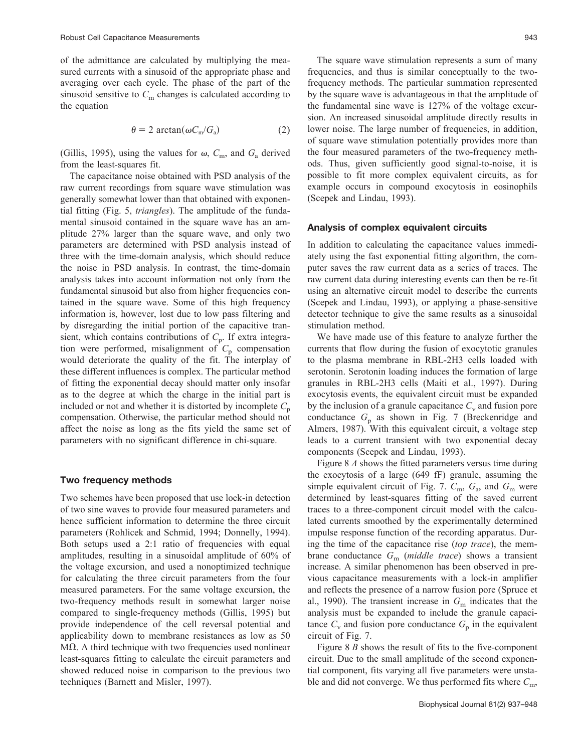of the admittance are calculated by multiplying the measured currents with a sinusoid of the appropriate phase and averaging over each cycle. The phase of the part of the sinusoid sensitive to  $C<sub>m</sub>$  changes is calculated according to the equation

$$
\theta = 2 \arctan(\omega C_{\rm m}/G_{\rm a}) \tag{2}
$$

(Gillis, 1995), using the values for  $\omega$ ,  $C_m$ , and  $G_a$  derived from the least-squares fit.

The capacitance noise obtained with PSD analysis of the raw current recordings from square wave stimulation was generally somewhat lower than that obtained with exponential fitting (Fig. 5, *triangles*). The amplitude of the fundamental sinusoid contained in the square wave has an amplitude 27% larger than the square wave, and only two parameters are determined with PSD analysis instead of three with the time-domain analysis, which should reduce the noise in PSD analysis. In contrast, the time-domain analysis takes into account information not only from the fundamental sinusoid but also from higher frequencies contained in the square wave. Some of this high frequency information is, however, lost due to low pass filtering and by disregarding the initial portion of the capacitive transient, which contains contributions of  $C_p$ . If extra integration were performed, misalignment of  $C_p$  compensation would deteriorate the quality of the fit. The interplay of these different influences is complex. The particular method of fitting the exponential decay should matter only insofar as to the degree at which the charge in the initial part is included or not and whether it is distorted by incomplete  $C_p$ compensation. Otherwise, the particular method should not affect the noise as long as the fits yield the same set of parameters with no significant difference in chi-square.

#### **Two frequency methods**

Two schemes have been proposed that use lock-in detection of two sine waves to provide four measured parameters and hence sufficient information to determine the three circuit parameters (Rohlicek and Schmid, 1994; Donnelly, 1994). Both setups used a 2:1 ratio of frequencies with equal amplitudes, resulting in a sinusoidal amplitude of 60% of the voltage excursion, and used a nonoptimized technique for calculating the three circuit parameters from the four measured parameters. For the same voltage excursion, the two-frequency methods result in somewhat larger noise compared to single-frequency methods (Gillis, 1995) but provide independence of the cell reversal potential and applicability down to membrane resistances as low as 50  $M\Omega$ . A third technique with two frequencies used nonlinear least-squares fitting to calculate the circuit parameters and showed reduced noise in comparison to the previous two techniques (Barnett and Misler, 1997).

The square wave stimulation represents a sum of many frequencies, and thus is similar conceptually to the twofrequency methods. The particular summation represented by the square wave is advantageous in that the amplitude of the fundamental sine wave is 127% of the voltage excursion. An increased sinusoidal amplitude directly results in lower noise. The large number of frequencies, in addition, of square wave stimulation potentially provides more than the four measured parameters of the two-frequency methods. Thus, given sufficiently good signal-to-noise, it is possible to fit more complex equivalent circuits, as for example occurs in compound exocytosis in eosinophils (Scepek and Lindau, 1993).

### **Analysis of complex equivalent circuits**

In addition to calculating the capacitance values immediately using the fast exponential fitting algorithm, the computer saves the raw current data as a series of traces. The raw current data during interesting events can then be re-fit using an alternative circuit model to describe the currents (Scepek and Lindau, 1993), or applying a phase-sensitive detector technique to give the same results as a sinusoidal stimulation method.

We have made use of this feature to analyze further the currents that flow during the fusion of exocytotic granules to the plasma membrane in RBL-2H3 cells loaded with serotonin. Serotonin loading induces the formation of large granules in RBL-2H3 cells (Maiti et al., 1997). During exocytosis events, the equivalent circuit must be expanded by the inclusion of a granule capacitance  $C_v$  and fusion pore conductance  $G_p$  as shown in Fig. 7 (Breckenridge and Almers, 1987). With this equivalent circuit, a voltage step leads to a current transient with two exponential decay components (Scepek and Lindau, 1993).

Figure 8 *A* shows the fitted parameters versus time during the exocytosis of a large (649 fF) granule, assuming the simple equivalent circuit of Fig. 7.  $C_m$ ,  $G_a$ , and  $G_m$  were determined by least-squares fitting of the saved current traces to a three-component circuit model with the calculated currents smoothed by the experimentally determined impulse response function of the recording apparatus. During the time of the capacitance rise (*top trace*), the membrane conductance *G*<sup>m</sup> (*middle trace*) shows a transient increase. A similar phenomenon has been observed in previous capacitance measurements with a lock-in amplifier and reflects the presence of a narrow fusion pore (Spruce et al., 1990). The transient increase in  $G<sub>m</sub>$  indicates that the analysis must be expanded to include the granule capacitance  $C_v$  and fusion pore conductance  $G_p$  in the equivalent circuit of Fig. 7.

Figure 8 *B* shows the result of fits to the five-component circuit. Due to the small amplitude of the second exponential component, fits varying all five parameters were unstable and did not converge. We thus performed fits where  $C<sub>m</sub>$ ,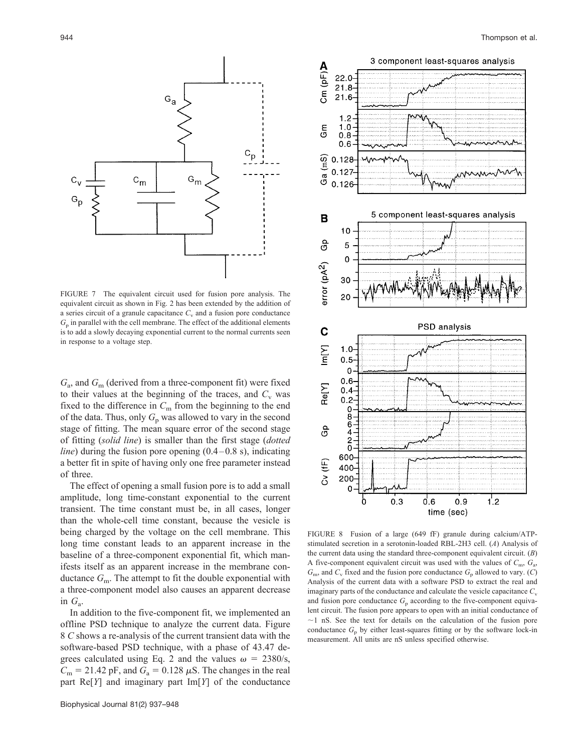

FIGURE 7 The equivalent circuit used for fusion pore analysis. The equivalent circuit as shown in Fig. 2 has been extended by the addition of a series circuit of a granule capacitance  $C<sub>v</sub>$  and a fusion pore conductance  $G<sub>p</sub>$  in parallel with the cell membrane. The effect of the additional elements is to add a slowly decaying exponential current to the normal currents seen in response to a voltage step.

*G*a, and *G*<sup>m</sup> (derived from a three-component fit) were fixed to their values at the beginning of the traces, and  $C_v$  was fixed to the difference in  $C_m$  from the beginning to the end of the data. Thus, only  $G_p$  was allowed to vary in the second stage of fitting. The mean square error of the second stage of fitting (*solid line*) is smaller than the first stage (*dotted line*) during the fusion pore opening (0.4–0.8 s), indicating a better fit in spite of having only one free parameter instead of three.

The effect of opening a small fusion pore is to add a small amplitude, long time-constant exponential to the current transient. The time constant must be, in all cases, longer than the whole-cell time constant, because the vesicle is being charged by the voltage on the cell membrane. This long time constant leads to an apparent increase in the baseline of a three-component exponential fit, which manifests itself as an apparent increase in the membrane conductance  $G_m$ . The attempt to fit the double exponential with a three-component model also causes an apparent decrease in  $G_{\rm a}$ .

In addition to the five-component fit, we implemented an offline PSD technique to analyze the current data. Figure 8 *C* shows a re-analysis of the current transient data with the software-based PSD technique, with a phase of 43.47 degrees calculated using Eq. 2 and the values  $\omega = 2380/s$ ,  $C_m = 21.42 \text{ pF}$ , and  $G_a = 0.128 \mu\text{S}$ . The changes in the real part Re[*Y*] and imaginary part Im[*Y*] of the conductance



FIGURE 8 Fusion of a large (649 fF) granule during calcium/ATPstimulated secretion in a serotonin-loaded RBL-2H3 cell. (*A*) Analysis of the current data using the standard three-component equivalent circuit. (*B*) A five-component equivalent circuit was used with the values of  $C_m$ ,  $G_a$ ,  $G<sub>m</sub>$ , and  $C<sub>v</sub>$  fixed and the fusion pore conductance  $G<sub>p</sub>$  allowed to vary. (*C*) Analysis of the current data with a software PSD to extract the real and imaginary parts of the conductance and calculate the vesicle capacitance  $C_v$ . and fusion pore conductance  $G_p$  according to the five-component equivalent circuit. The fusion pore appears to open with an initial conductance of  $\sim$ 1 nS. See the text for details on the calculation of the fusion pore conductance  $G_p$  by either least-squares fitting or by the software lock-in measurement. All units are nS unless specified otherwise.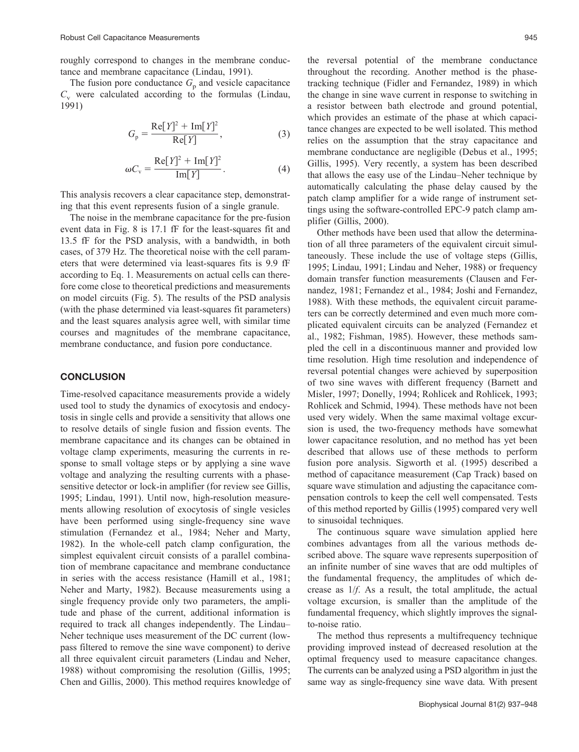roughly correspond to changes in the membrane conductance and membrane capacitance (Lindau, 1991).

The fusion pore conductance  $G_p$  and vesicle capacitance  $C_v$  were calculated according to the formulas (Lindau, 1991)

$$
G_{\rm p} = \frac{\rm Re[Y]^2 + \rm Im[Y]^2}{\rm Re[Y]},
$$
 (3)

$$
\omega C_{\rm v} = \frac{\operatorname{Re}[Y]^2 + \operatorname{Im}[Y]^2}{\operatorname{Im}[Y]}.\tag{4}
$$

This analysis recovers a clear capacitance step, demonstrating that this event represents fusion of a single granule.

The noise in the membrane capacitance for the pre-fusion event data in Fig. 8 is 17.1 fF for the least-squares fit and 13.5 fF for the PSD analysis, with a bandwidth, in both cases, of 379 Hz. The theoretical noise with the cell parameters that were determined via least-squares fits is 9.9 fF according to Eq. 1. Measurements on actual cells can therefore come close to theoretical predictions and measurements on model circuits (Fig. 5). The results of the PSD analysis (with the phase determined via least-squares fit parameters) and the least squares analysis agree well, with similar time courses and magnitudes of the membrane capacitance, membrane conductance, and fusion pore conductance.

### **CONCLUSION**

Time-resolved capacitance measurements provide a widely used tool to study the dynamics of exocytosis and endocytosis in single cells and provide a sensitivity that allows one to resolve details of single fusion and fission events. The membrane capacitance and its changes can be obtained in voltage clamp experiments, measuring the currents in response to small voltage steps or by applying a sine wave voltage and analyzing the resulting currents with a phasesensitive detector or lock-in amplifier (for review see Gillis, 1995; Lindau, 1991). Until now, high-resolution measurements allowing resolution of exocytosis of single vesicles have been performed using single-frequency sine wave stimulation (Fernandez et al., 1984; Neher and Marty, 1982). In the whole-cell patch clamp configuration, the simplest equivalent circuit consists of a parallel combination of membrane capacitance and membrane conductance in series with the access resistance (Hamill et al., 1981; Neher and Marty, 1982). Because measurements using a single frequency provide only two parameters, the amplitude and phase of the current, additional information is required to track all changes independently. The Lindau– Neher technique uses measurement of the DC current (lowpass filtered to remove the sine wave component) to derive all three equivalent circuit parameters (Lindau and Neher, 1988) without compromising the resolution (Gillis, 1995; Chen and Gillis, 2000). This method requires knowledge of the reversal potential of the membrane conductance throughout the recording. Another method is the phasetracking technique (Fidler and Fernandez, 1989) in which the change in sine wave current in response to switching in a resistor between bath electrode and ground potential, which provides an estimate of the phase at which capacitance changes are expected to be well isolated. This method relies on the assumption that the stray capacitance and membrane conductance are negligible (Debus et al., 1995; Gillis, 1995). Very recently, a system has been described that allows the easy use of the Lindau–Neher technique by automatically calculating the phase delay caused by the patch clamp amplifier for a wide range of instrument settings using the software-controlled EPC-9 patch clamp amplifier (Gillis, 2000).

Other methods have been used that allow the determination of all three parameters of the equivalent circuit simultaneously. These include the use of voltage steps (Gillis, 1995; Lindau, 1991; Lindau and Neher, 1988) or frequency domain transfer function measurements (Clausen and Fernandez, 1981; Fernandez et al., 1984; Joshi and Fernandez, 1988). With these methods, the equivalent circuit parameters can be correctly determined and even much more complicated equivalent circuits can be analyzed (Fernandez et al., 1982; Fishman, 1985). However, these methods sampled the cell in a discontinuous manner and provided low time resolution. High time resolution and independence of reversal potential changes were achieved by superposition of two sine waves with different frequency (Barnett and Misler, 1997; Donelly, 1994; Rohlicek and Rohlicek, 1993; Rohlicek and Schmid, 1994). These methods have not been used very widely. When the same maximal voltage excursion is used, the two-frequency methods have somewhat lower capacitance resolution, and no method has yet been described that allows use of these methods to perform fusion pore analysis. Sigworth et al. (1995) described a method of capacitance measurement (Cap Track) based on square wave stimulation and adjusting the capacitance compensation controls to keep the cell well compensated. Tests of this method reported by Gillis (1995) compared very well to sinusoidal techniques.

The continuous square wave simulation applied here combines advantages from all the various methods described above. The square wave represents superposition of an infinite number of sine waves that are odd multiples of the fundamental frequency, the amplitudes of which decrease as 1/*f*. As a result, the total amplitude, the actual voltage excursion, is smaller than the amplitude of the fundamental frequency, which slightly improves the signalto-noise ratio.

The method thus represents a multifrequency technique providing improved instead of decreased resolution at the optimal frequency used to measure capacitance changes. The currents can be analyzed using a PSD algorithm in just the same way as single-frequency sine wave data. With present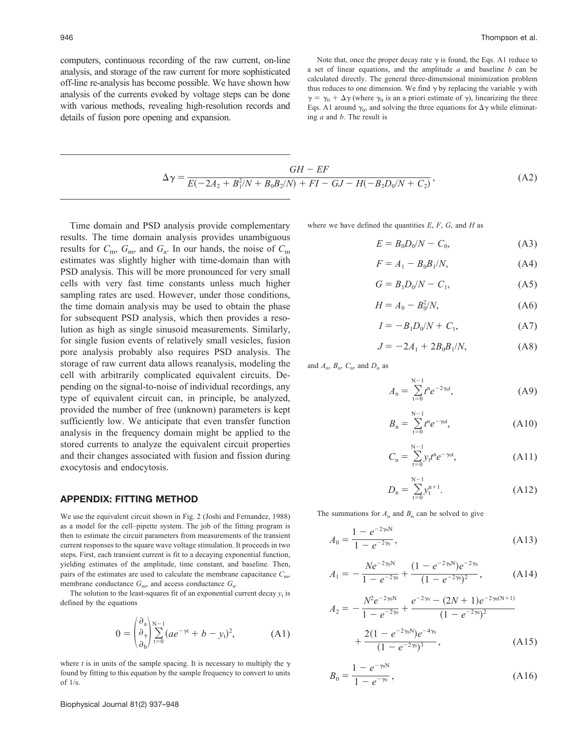computers, continuous recording of the raw current, on-line analysis, and storage of the raw current for more sophisticated off-line re-analysis has become possible. We have shown how analysis of the currents evoked by voltage steps can be done with various methods, revealing high-resolution records and details of fusion pore opening and expansion.

Note that, once the proper decay rate  $\gamma$  is found, the Eqs. A1 reduce to a set of linear equations, and the amplitude *a* and baseline *b* can be calculated directly. The general three-dimensional minimization problem thus reduces to one dimension. We find  $\gamma$  by replacing the variable  $\gamma$  with  $\gamma = \gamma_0 + \Delta \gamma$  (where  $\gamma_0$  is an a priori estimate of  $\gamma$ ), linearizing the three Eqs. A1 around  $\gamma_0$ , and solving the three equations for  $\Delta \gamma$  while eliminating *a* and *b*. The result is

$$
\Delta \gamma = \frac{GH - EF}{E(-2A_2 + B_1^2/N + B_0B_2/N) + FI - GJ - H(-B_2D_0/N + C_2)},
$$
\n(A2)

Time domain and PSD analysis provide complementary results. The time domain analysis provides unambiguous results for  $C_m$ ,  $G_m$ , and  $G_a$ . In our hands, the noise of  $C_m$ estimates was slightly higher with time-domain than with PSD analysis. This will be more pronounced for very small cells with very fast time constants unless much higher sampling rates are used. However, under those conditions, the time domain analysis may be used to obtain the phase for subsequent PSD analysis, which then provides a resolution as high as single sinusoid measurements. Similarly, for single fusion events of relatively small vesicles, fusion pore analysis probably also requires PSD analysis. The storage of raw current data allows reanalysis, modeling the cell with arbitrarily complicated equivalent circuits. Depending on the signal-to-noise of individual recordings, any type of equivalent circuit can, in principle, be analyzed, provided the number of free (unknown) parameters is kept sufficiently low. We anticipate that even transfer function analysis in the frequency domain might be applied to the stored currents to analyze the equivalent circuit properties and their changes associated with fusion and fission during exocytosis and endocytosis.

#### **APPENDIX: FITTING METHOD**

We use the equivalent circuit shown in Fig. 2 (Joshi and Fernandez, 1988) as a model for the cell–pipette system. The job of the fitting program is then to estimate the circuit parameters from measurements of the transient current responses to the square wave voltage stimulation. It proceeds in two steps. First, each transient current is fit to a decaying exponential function, yielding estimates of the amplitude, time constant, and baseline. Then, pairs of the estimates are used to calculate the membrane capacitance  $C_{\text{m}}$ , membrane conductance  $G_m$ , and access conductance  $G_a$ .

The solution to the least-squares fit of an exponential current decay  $y_t$  is defined by the equations

$$
0 = \begin{pmatrix} \partial_a \\ \partial_y \\ \partial_b \end{pmatrix} \sum_{t=0}^{N-1} (ae^{-\gamma t} + b - y_t)^2, \tag{A1}
$$

where *t* is in units of the sample spacing. It is necessary to multiply the  $\gamma$ found by fitting to this equation by the sample frequency to convert to units of 1/s.

Biophysical Journal 81(2) 937–948

where we have defined the quantities  $E$ ,  $F$ ,  $G$ , and  $H$  as

$$
E = B_0 D_0 / N - C_0, \tag{A3}
$$

$$
F = A_1 - B_0 B_1 / N,\tag{A4}
$$

$$
G = B_1 D_0 / N - C_1,\tag{A5}
$$

$$
H = A_0 - B_0^2 / N,
$$
 (A6)

$$
I = -B_1 D_0 / N + C_1, \tag{A7}
$$

$$
J = -2A_1 + 2B_0B_1/N,
$$
 (A8)

and  $A_n$ ,  $B_n$ ,  $C_n$ , and  $D_n$  as

$$
A_n = \sum_{t=0}^{N-1} t^n e^{-2\gamma_0 t}, \tag{A9}
$$

$$
B_{n} = \sum_{t=0}^{N-1} t^{n} e^{-\gamma_{0}t}, \qquad (A10)
$$

$$
C_{n} = \sum_{t=0}^{N-1} y_{t} t^{n} e^{-\gamma_{0} t}, \qquad (A11)
$$

$$
D_{n} = \sum_{t=0}^{N-1} y_{t}^{n+1}.
$$
 (A12)

The summations for  $A_n$  and  $B_n$  can be solved to give

$$
A_0 = \frac{1 - e^{-2\gamma_0 N}}{1 - e^{-2\gamma_0}},
$$
\n(A13)

$$
A_1 = -\frac{Ne^{-2\gamma_0 N}}{1 - e^{-2\gamma_0}} + \frac{(1 - e^{-2\gamma_0 N})e^{-2\gamma_0}}{(1 - e^{-2\gamma_0})^2}, \tag{A14}
$$

$$
A_2 = -\frac{N^2 e^{-2\gamma_0 N}}{1 - e^{-2\gamma_0}} + \frac{e^{-2\gamma_0} - (2N + 1)e^{-2\gamma_0(N+1)}}{(1 - e^{-2\gamma_0})^2} + \frac{2(1 - e^{-2\gamma_0 N})e^{-4\gamma_0}}{(1 - e^{-2\gamma_0})^3},
$$
 (A15)

$$
B_0 = \frac{1 - e^{-\gamma_0 N}}{1 - e^{-\gamma_0}},\tag{A16}
$$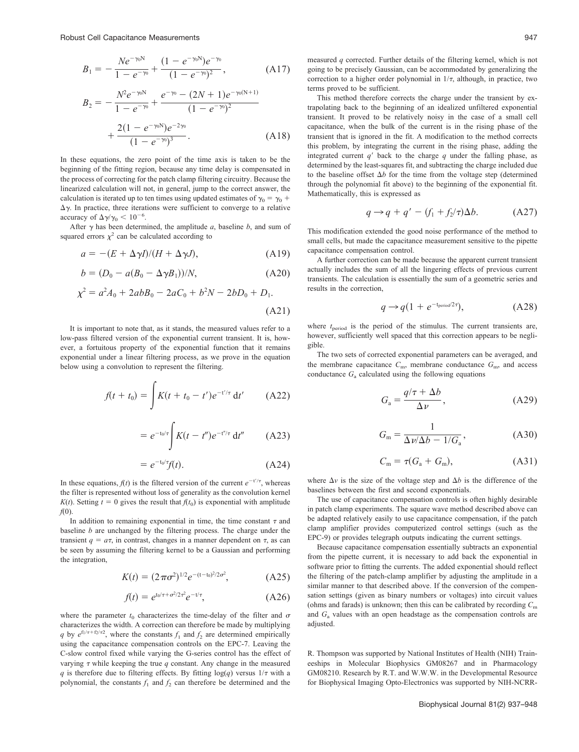$$
B_1 = -\frac{Ne^{-\gamma_0 N}}{1 - e^{-\gamma_0}} + \frac{(1 - e^{-\gamma_0 N})e^{-\gamma_0}}{(1 - e^{-\gamma_0})^2}, \tag{A17}
$$

$$
B_2 = -\frac{N^2 e^{-\gamma_0 N}}{1 - e^{-\gamma_0}} + \frac{e^{-\gamma_0} - (2N + 1)e^{-\gamma_0(N+1)}}{(1 - e^{-\gamma_0})^2} + \frac{2(1 - e^{-\gamma_0 N})e^{-2\gamma_0}}{(1 - e^{-\gamma_0})^3}.
$$
 (A18)

In these equations, the zero point of the time axis is taken to be the beginning of the fitting region, because any time delay is compensated in the process of correcting for the patch clamp filtering circuitry. Because the linearized calculation will not, in general, jump to the correct answer, the calculation is iterated up to ten times using updated estimates of  $\gamma_0 = \gamma_0 + \gamma_0$  $\Delta \gamma$ . In practice, three iterations were sufficient to converge to a relative accuracy of  $\Delta\gamma/\gamma_0 < 10^{-6}$ .

After  $\gamma$  has been determined, the amplitude  $a$ , baseline  $b$ , and sum of squared errors  $\chi^2$  can be calculated according to

$$
a = -(E + \Delta \gamma I)/(H + \Delta \gamma J), \tag{A19}
$$

$$
b = (D_0 - a(B_0 - \Delta \gamma B_1))/N,
$$
 (A20)

$$
\chi^2 = a^2 A_0 + 2ab B_0 - 2a C_0 + b^2 N - 2b D_0 + D_1.
$$
\n(A21)

It is important to note that, as it stands, the measured values refer to a low-pass filtered version of the exponential current transient. It is, however, a fortuitous property of the exponential function that it remains exponential under a linear filtering process, as we prove in the equation below using a convolution to represent the filtering.

$$
f(t + t_0) = \int K(t + t_0 - t') e^{-t'/\tau} dt'
$$
 (A22)

$$
= e^{-t_0/\tau} \int K(t - t'') e^{-t''/\tau} dt''
$$
 (A23)

$$
= e^{-t_0/\tau} f(t). \tag{A24}
$$

In these equations,  $f(t)$  is the filtered version of the current  $e^{-t/\tau}$ , whereas the filter is represented without loss of generality as the convolution kernel *K*(*t*). Setting *t* = 0 gives the result that  $f(t_0)$  is exponential with amplitude *f*(0).

In addition to remaining exponential in time, the time constant  $\tau$  and baseline *b* are unchanged by the filtering process. The charge under the transient  $q = a\tau$ , in contrast, changes in a manner dependent on  $\tau$ , as can be seen by assuming the filtering kernel to be a Gaussian and performing the integration,

$$
K(t) = (2\pi\sigma^2)^{1/2} e^{-(t-t_0)^2/2\sigma^2}, \tag{A25}
$$

$$
f(t) = e^{t_0/\tau + \sigma^2/2\tau^2} e^{-t/\tau}, \tag{A26}
$$

where the parameter  $t_0$  characterizes the time-delay of the filter and  $\sigma$ characterizes the width. A correction can therefore be made by multiplying *q* by  $e^{f_1/\tau + f_2/\tau^2}$ , where the constants  $f_1$  and  $f_2$  are determined empirically using the capacitance compensation controls on the EPC-7. Leaving the C-slow control fixed while varying the G-series control has the effect of varying  $\tau$  while keeping the true  $q$  constant. Any change in the measured *q* is therefore due to filtering effects. By fitting  $log(q)$  versus  $1/\tau$  with a polynomial, the constants  $f_1$  and  $f_2$  can therefore be determined and the

measured *q* corrected. Further details of the filtering kernel, which is not going to be precisely Gaussian, can be accommodated by generalizing the correction to a higher order polynomial in  $1/\tau$ , although, in practice, two terms proved to be sufficient.

This method therefore corrects the charge under the transient by extrapolating back to the beginning of an idealized unfiltered exponential transient. It proved to be relatively noisy in the case of a small cell capacitance, when the bulk of the current is in the rising phase of the transient that is ignored in the fit. A modification to the method corrects this problem, by integrating the current in the rising phase, adding the integrated current  $q'$  back to the charge  $q$  under the falling phase, as determined by the least-squares fit, and subtracting the charge included due to the baseline offset  $\Delta b$  for the time from the voltage step (determined through the polynomial fit above) to the beginning of the exponential fit. Mathematically, this is expressed as

$$
q \to q + q' - (f_1 + f_2/\tau)\Delta b. \tag{A27}
$$

This modification extended the good noise performance of the method to small cells, but made the capacitance measurement sensitive to the pipette capacitance compensation control.

A further correction can be made because the apparent current transient actually includes the sum of all the lingering effects of previous current transients. The calculation is essentially the sum of a geometric series and results in the correction,

$$
q \to q(1 + e^{-t_{\text{period}}/2\tau}), \tag{A28}
$$

where  $t_{\text{period}}$  is the period of the stimulus. The current transients are, however, sufficiently well spaced that this correction appears to be negligible.

The two sets of corrected exponential parameters can be averaged, and the membrane capacitance  $C_{\text{m}}$ , membrane conductance  $G_{\text{m}}$ , and access conductance  $G_a$  calculated using the following equations

$$
G_{\rm a} = \frac{q/\tau + \Delta b}{\Delta \nu},\tag{A29}
$$

$$
G_{\rm m} = \frac{1}{\Delta \nu / \Delta b - 1 / G_{\rm a}},\tag{A30}
$$

$$
C_{\rm m} = \tau (G_{\rm a} + G_{\rm m}), \tag{A31}
$$

where  $\Delta v$  is the size of the voltage step and  $\Delta b$  is the difference of the baselines between the first and second exponentials.

The use of capacitance compensation controls is often highly desirable in patch clamp experiments. The square wave method described above can be adapted relatively easily to use capacitance compensation, if the patch clamp amplifier provides computerized control settings (such as the EPC-9) or provides telegraph outputs indicating the current settings.

Because capacitance compensation essentially subtracts an exponential from the pipette current, it is necessary to add back the exponential in software prior to fitting the currents. The added exponential should reflect the filtering of the patch-clamp amplifier by adjusting the amplitude in a similar manner to that described above. If the conversion of the compensation settings (given as binary numbers or voltages) into circuit values (ohms and farads) is unknown; then this can be calibrated by recording *C*<sup>m</sup> and  $G_a$  values with an open headstage as the compensation controls are adjusted.

R. Thompson was supported by National Institutes of Health (NIH) Traineeships in Molecular Biophysics GM08267 and in Pharmacology GM08210. Research by R.T. and W.W.W. in the Developmental Resource for Biophysical Imaging Opto-Electronics was supported by NIH-NCRR-